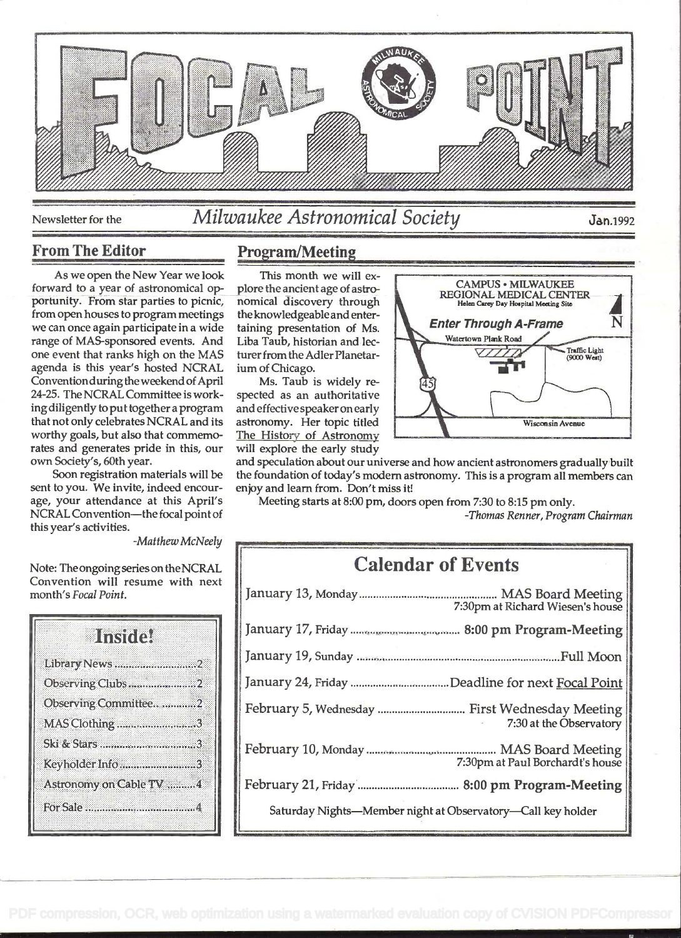

# Newsletter for the *Milwaukee Astronomical Society* Jan.1992

#### From The Editor

As we open the New Year we look forward to a year of astronomical opportunity. From star parties to picnic, nomical discovery through from open houses to program meetings we can once again participate in a wide taining presentation of Ms. range of MAS-sponsored events. And one event that ranks high on the MAS agenda is this year's hosted NCRAL Convention during the weekend of April 24-25. The NCRAL Committee is working diligently to put together a program that not only celebrates NCRAL and its worthy goals, but also that commemorates and generates pride in this, our own Society's, 60th year.

Soon registration materials will be sent to you. We invite, indeed encourage, your attendance at this April's NCRAL Convention-the focal point of this year's activities.

-Matthew McNeely

Note: Theongoing series on the NCRAL Convention will resume with next month's Focal Point.

| Ulnania.                |  |
|-------------------------|--|
| Library News 2          |  |
| Observing Clubs2        |  |
| Observing Committee2    |  |
| MAS Clothing3           |  |
| Ski & Stars 3           |  |
| Keyholder Info3         |  |
| Astronomy on Cable TV 4 |  |
|                         |  |
|                         |  |

### Program/Meeting

This month we will ex-<br>plore the ancient age of astrothe knowledgeable and enterturer from the Adler Planetarium of Chicago.

Ms. Taub is widely respected as an authoritative astronomy. Her topic titled The History of Astronomy will explore the early study

and speculation about our universe and how ancient astronomers gradually built the foundation of today's modem astronomy. This is a program all members can enjoy and learn from. Don't miss it!

Meeting starts at 8:00 pm, doors open from 7:30 to 8:15 pm only.

-Thomas Renner, Program Chairman

| <b>Calendar of Events</b>                                   |                                  |
|-------------------------------------------------------------|----------------------------------|
|                                                             | 7:30pm at Richard Wiesen's house |
|                                                             |                                  |
|                                                             |                                  |
|                                                             |                                  |
| February 5, Wednesday  First Wednesday Meeting              | 7:30 at the Observatory          |
|                                                             | 7:30pm at Paul Borchardt's house |
|                                                             |                                  |
| Saturday Nights-Member night at Observatory-Call key holder |                                  |

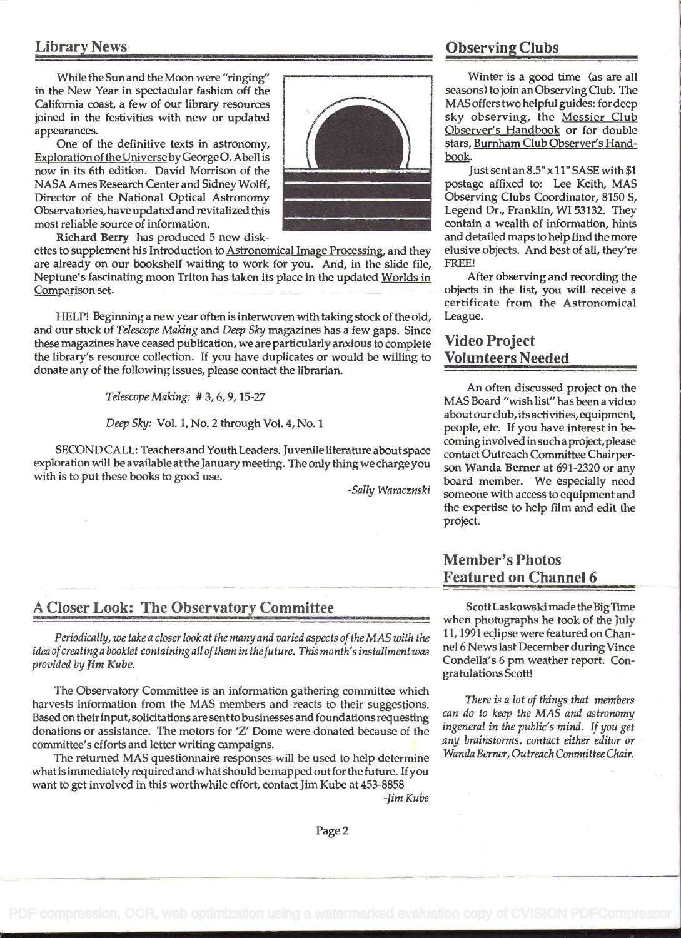While the Sun and the Moon were "ringing" in the New Year in spectacular fashion off the California coast, a few of our library resources joined in the festivities with new or updated appearances.

One of the definitive texts in astronomy, Exploration of the Universe by George O. Abell is now in its 6th edition. David Morrison of the NASA Ames Research Center and Sidney Wolff, Director of the National Optical Astronomy Observatories, have updated and revitalized this most reliable source of information.



Richard Berry has produced 5 new disk-

ettes to supplement his Introduction to Astronomical Image Processing, and they are already on our bookshelf waiting to work for you. And, in the slide file, Neptune's fascinating moon Triton has taken its place in the updated Worlds in Comparison set.

HELP! Beginning a new year often is interwoven with taking stock of the old, and our stock of Telescope Making and Deep Sky magazines has a few gaps. Since these magazines have ceased publication, we are particularly anxious to complete the library's resource collection. If you have duplicates or would be willing to donate any of the following issues, please contact the librarian.

Telescope Making: # 3, 6, 9, 15-27

Deep Sky: Vol. 1, No. 2 through Vol. 4, No. 1

SECOND CALL: Teachers and Youth Leaders. Juvenile literature about space exploration will be available at the January meeting. The only thing we charge you with is to put these books to good use.

-Sally Waracznski

#### A Closer Look: The Observatory Committee

Periodically, we take a closer look at the many and varied aspects of the MAS with the idea ofcreatinga booklet containingall ofthem in thefuture. This month's installment was provided by Jim Kube.

The Observatory Committee is an information gathering committee which harvests information from the MAS members and reacts to their suggestions. Based on theirinput, solicitations are senttobusinesses and foundations requesting donations or assistance. The motors for 'Z' Dome were donated because of the committee's efforts and letter writing campaigns.

The returned MAS questionnaire responses will be used to help determine whatis immediately required and what should bemapped out for the future. If you want to get involved in this worthwhile effort, contact Jim Kube at 453-8858

## Library News Observing Clubs

Winter is a good time (as are all seasons) to join an Observing Club. The MAS offerstwo helpful guides: for deep sky observing, the Messier Club Observer's Handbook or for double stars, Burnham Club Observer's Handbook.

Just sent an 8.5" x 11" SASE with \$1 postage affixed to: Lee Keith, MAS Observing Clubs Coordinator, 8150 S, Legend Dr., Franklin, WI 53132. They contain a wealth of information, hints and detailed maps to help find the more elusive objects. And best of all, they're FREE!

After observing and recording the objects in the list, you will receive a certificate from the Astronomical League.

#### Video Project Volunteers Needed

An often discussed project on the MAS Board "wish list" has been a video aboutour club, its activities, equipment, people, etc. If you have interest in becominginvolved insuch a project, please contact Outreach Committee Chairperson Wanda Berner at 691-2320 or any board member. We especially need someone with access to equipment and the expertise to help film and edit the project.

### Member's Photos Featured on Channel 6

ScottLaskowski made the Big Time when photographs he took of the July 11, 1991 eclipse were featured on Channel 6 News last December during Vince Condella's 6 pm weather report. Congratulations Scott!

There is a lot of things that members can do to keep the MAS and astronomy ingeneral in the public's mind. If you get any brainstorms, contact either editor or Wanda Berner, Outreach Committee Chair.

-Jim Kube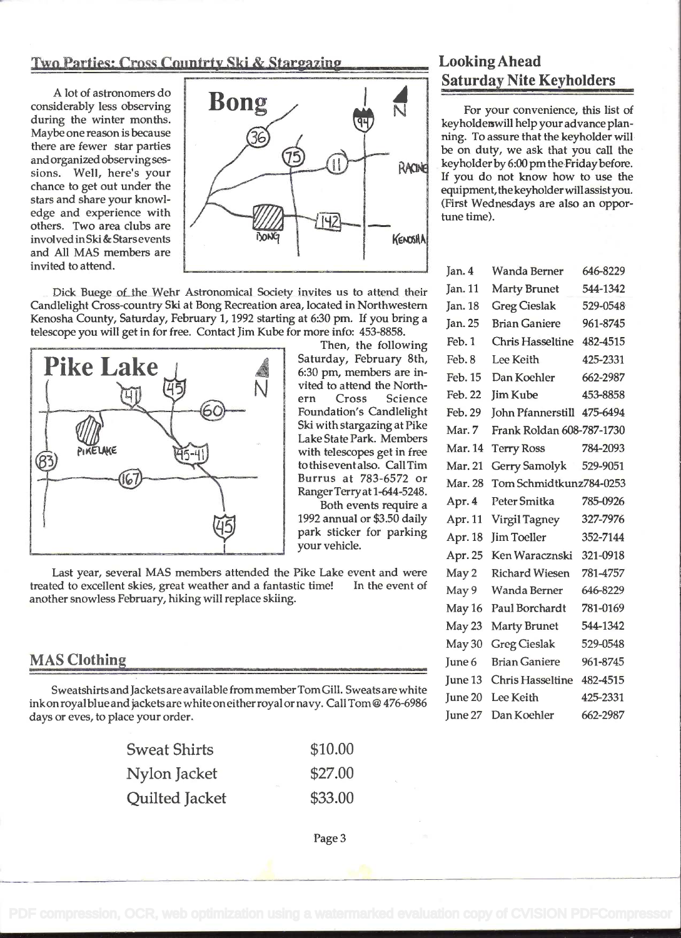#### Two Parties: Cross Countrty Ski & Stargazing Looking Ahead

A lot of astronomers do considerably less observing during the winter months. Maybe one reason is because there are fewer star parties and organized observing sessions. Well, here's your chance to get out under the stars and share your knowledge and experience with others. Two area clubs are involved in Ski & Stars events and All MAS members are invited to attend.



Dick Buege of the Wehr Astronomical Society invites us to attend their Candlelight Cross-country Ski at Bong Recreation area, located in Northwestern Kenosha County, Saturday, February 1, 1992 starting at 6:30 pm. If you bring a telescope you will get in for free. Contact Jim Kube for more info: 453-8858.



Then, the following<br>Saturday, February 8th, vited to attend the North em Cross Science Foundation's Candlelight Lake State Park. Members<br>with telescopes get in free Ski with stargazing at Pike Burrus at 783-6572 or RangerTerryat 1-644-5248.

Both events require a 1992 annual or \$3.50 daily park sticker for parking your vehicle.

Last year, several MAS members attended the Pike Lake event and were treated to excellent skies, great weather and a fantastic time! In the event of another snowless February, hiking will replace skiing.

#### MAS Clothing

Sweatshirts and Jackets are available from member Tom Gill. Sweats are white ink on royal blue and jackets are white on either royal or navy. Call Tom @ 476-6986 days or eves, to place your order.

| <b>Sweat Shirts</b> | \$10.00         |
|---------------------|-----------------|
| Nylon Jacket        | \$27.00<br>1000 |
| Quilted Jacket      | \$33.00         |

For your convenience, this list of keyholders will help your advance planning. To assure that the keyholder will be on duty, we ask that you call the keyholder by 6:00 pm the Friday before. If you do not know how to use the equipment, the keyholder will assistyou. (First Wednesdays are also an opportune time).

| Jan. 4  | Wanda Berner               | 646-8229 |
|---------|----------------------------|----------|
| Jan. 11 | <b>Marty Brunet</b>        | 544-1342 |
| Jan. 18 | <b>Greg Cieslak</b>        | 529-0548 |
| Jan. 25 | <b>Brian Ganiere</b>       | 961-8745 |
| Feb. 1  | Chris Hasseltine 482-4515  |          |
| Feb. 8  | Lee Keith                  | 425-2331 |
| Feb. 15 | Dan Koehler                | 662-2987 |
| Feb. 22 | <b>Jim Kube</b>            | 453-8858 |
| Feb. 29 | John Pfannerstill 475-6494 |          |
| Mar. 7  | Frank Roldan 608-787-1730  |          |
| Mar. 14 | <b>Terry Ross</b>          | 784-2093 |
| Mar. 21 | Gerry Samolyk              | 529-9051 |
| Mar. 28 | Tom Schmidtkunz784-0253    |          |
| Apr. 4  | Peter Smitka               | 785-0926 |
| Apr. 11 | Virgil Tagney              | 327-7976 |
| Apr. 18 | Jim Toeller                | 352-7144 |
| Apr. 25 | Ken Waracznski 321-0918    |          |
| May 2   | Richard Wiesen             | 781-4757 |
| May 9   | Wanda Berner               | 646-8229 |
| May 16  | Paul Borchardt             | 781-0169 |
| May 23  | <b>Marty Brunet</b>        | 544-1342 |
| May 30  | <b>Greg Cieslak</b>        | 529-0548 |
| June 6  | <b>Brian Ganiere</b>       | 961-8745 |
| June 13 | Chris Hasseltine 482-4515  |          |
| June 20 | Lee Keith                  | 425-2331 |
| June 27 | Dan Koehler                | 662-2987 |